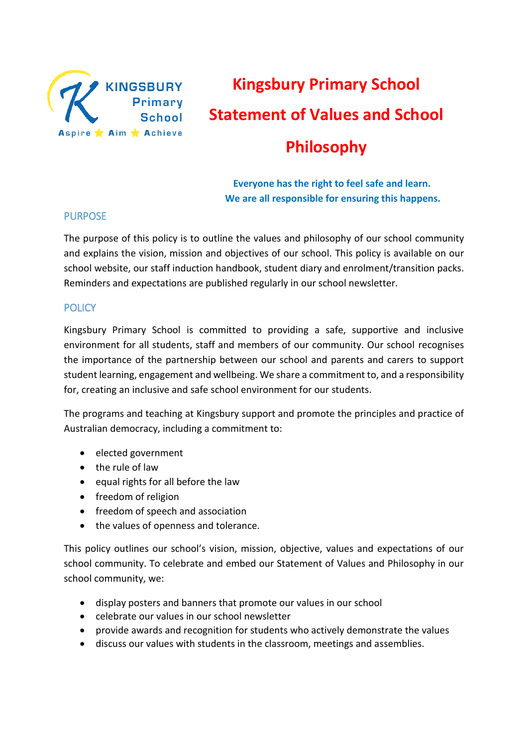

# **Kingsbury Primary School Statement of Values and School Philosophy**

 **Everyone has the right to feel safe and learn. We are all responsible for ensuring this happens.**

# PURPOSE

The purpose of this policy is to outline the values and philosophy of our school community and explains the vision, mission and objectives of our school. This policy is available on our school website, our staff induction handbook, student diary and enrolment/transition packs. Reminders and expectations are published regularly in our school newsletter.

# **POLICY**

Kingsbury Primary School is committed to providing a safe, supportive and inclusive environment for all students, staff and members of our community. Our school recognises the importance of the partnership between our school and parents and carers to support student learning, engagement and wellbeing. We share a commitment to, and a responsibility for, creating an inclusive and safe school environment for our students.

The programs and teaching at Kingsbury support and promote the principles and practice of Australian democracy, including a commitment to:

- elected government
- the rule of law
- $\bullet$  equal rights for all before the law
- freedom of religion
- freedom of speech and association
- the values of openness and tolerance.

This policy outlines our school's vision, mission, objective, values and expectations of our school community. To celebrate and embed our Statement of Values and Philosophy in our school community, we:

- display posters and banners that promote our values in our school
- celebrate our values in our school newsletter
- provide awards and recognition for students who actively demonstrate the values
- discuss our values with students in the classroom, meetings and assemblies.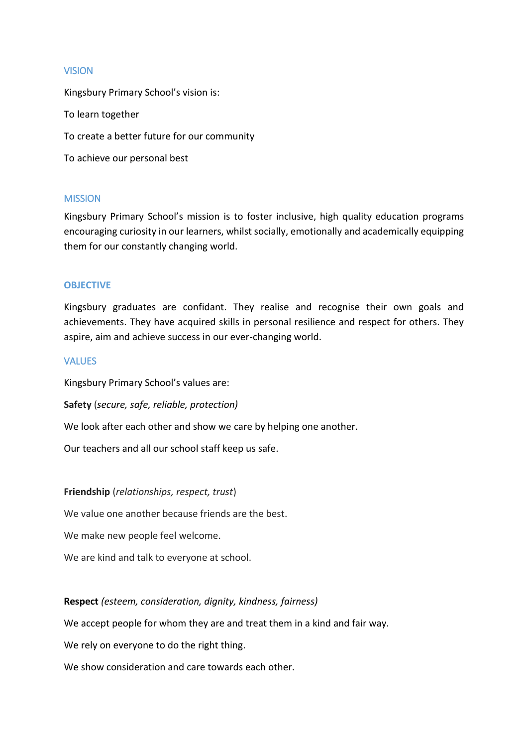## VISION

Kingsbury Primary School's vision is: To learn together To create a better future for our community To achieve our personal best

#### **MISSION**

Kingsbury Primary School's mission is to foster inclusive, high quality education programs encouraging curiosity in our learners, whilst socially, emotionally and academically equipping them for our constantly changing world.

#### **OBJECTIVE**

Kingsbury graduates are confidant. They realise and recognise their own goals and achievements. They have acquired skills in personal resilience and respect for others. They aspire, aim and achieve success in our ever-changing world.

#### **VALUES**

Kingsbury Primary School's values are:

**Safety** (*secure, safe, reliable, protection)*

We look after each other and show we care by helping one another.

Our teachers and all our school staff keep us safe.

**Friendship** (*relationships, respect, trust*)

We value one another because friends are the best.

We make new people feel welcome.

We are kind and talk to everyone at school.

## **Respect** *(esteem, consideration, dignity, kindness, fairness)*

We accept people for whom they are and treat them in a kind and fair way.

We rely on everyone to do the right thing.

We show consideration and care towards each other.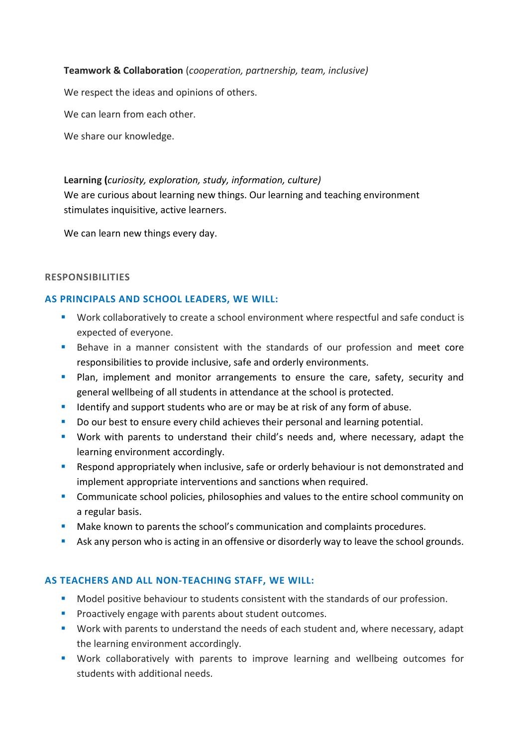## **Teamwork & Collaboration** (*cooperation, partnership, team, inclusive)*

We respect the ideas and opinions of others.

We can learn from each other.

We share our knowledge.

## **Learning (***curiosity, exploration, study, information, culture)*

We are curious about learning new things. Our learning and teaching environment stimulates inquisitive, active learners.

We can learn new things every day.

#### **RESPONSIBILITIES**

## **AS PRINCIPALS AND SCHOOL LEADERS, WE WILL:**

- Work collaboratively to create a school environment where respectful and safe conduct is expected of everyone.
- Behave in a manner consistent with the standards of our profession and meet core responsibilities to provide inclusive, safe and orderly environments.
- **Plan, implement and monitor arrangements to ensure the care, safety, security and** general wellbeing of all students in attendance at the school is protected.
- I dentify and support students who are or may be at risk of any form of abuse.
- Do our best to ensure every child achieves their personal and learning potential.
- Work with parents to understand their child's needs and, where necessary, adapt the learning environment accordingly.
- **Respond appropriately when inclusive, safe or orderly behaviour is not demonstrated and** implement appropriate interventions and sanctions when required.
- **Communicate school policies, philosophies and values to the entire school community on** a regular basis.
- **Make known to parents the school's communication and complaints procedures.**
- Ask any person who is acting in an offensive or disorderly way to leave the school grounds.

## **AS TEACHERS AND ALL NON-TEACHING STAFF, WE WILL:**

- Model positive behaviour to students consistent with the standards of our profession.
- **Proactively engage with parents about student outcomes.**
- **Work with parents to understand the needs of each student and, where necessary, adapt** the learning environment accordingly.
- **Work collaboratively with parents to improve learning and wellbeing outcomes for** students with additional needs.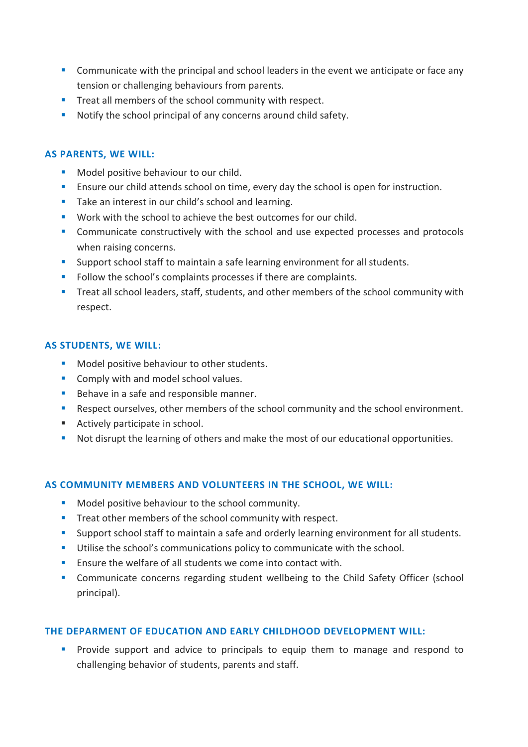- **Communicate with the principal and school leaders in the event we anticipate or face any** tension or challenging behaviours from parents.
- **Treat all members of the school community with respect.**
- **Notify the school principal of any concerns around child safety.**

# **AS PARENTS, WE WILL:**

- Model positive behaviour to our child.
- **Ensure our child attends school on time, every day the school is open for instruction.**
- Take an interest in our child's school and learning.
- **Work with the school to achieve the best outcomes for our child.**
- Communicate constructively with the school and use expected processes and protocols when raising concerns.
- **Support school staff to maintain a safe learning environment for all students.**
- Follow the school's complaints processes if there are complaints.
- Treat all school leaders, staff, students, and other members of the school community with respect.

## **AS STUDENTS, WE WILL:**

- Model positive behaviour to other students.
- **Comply with and model school values.**
- Behave in a safe and responsible manner.
- **Respect ourselves, other members of the school community and the school environment.**
- Actively participate in school.
- Not disrupt the learning of others and make the most of our educational opportunities.

## **AS COMMUNITY MEMBERS AND VOLUNTEERS IN THE SCHOOL, WE WILL:**

- Model positive behaviour to the school community.
- **Treat other members of the school community with respect.**
- Support school staff to maintain a safe and orderly learning environment for all students.
- Utilise the school's communications policy to communicate with the school.
- **Ensure the welfare of all students we come into contact with.**
- Communicate concerns regarding student wellbeing to the Child Safety Officer (school principal).

# **THE DEPARMENT OF EDUCATION AND EARLY CHILDHOOD DEVELOPMENT WILL:**

**Provide support and advice to principals to equip them to manage and respond to** challenging behavior of students, parents and staff.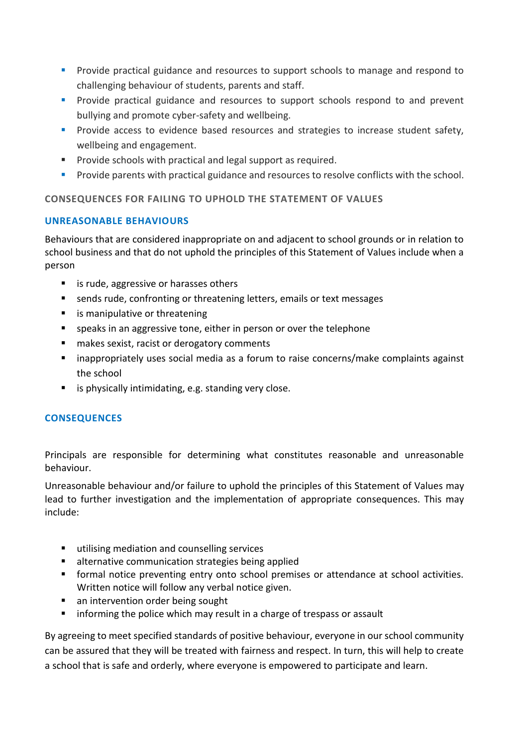- **Provide practical guidance and resources to support schools to manage and respond to** challenging behaviour of students, parents and staff.
- **Provide practical guidance and resources to support schools respond to and prevent** bullying and promote cyber-safety and wellbeing.
- **Provide access to evidence based resources and strategies to increase student safety,** wellbeing and engagement.
- **Provide schools with practical and legal support as required.**
- **Provide parents with practical guidance and resources to resolve conflicts with the school.**

# **CONSEQUENCES FOR FAILING TO UPHOLD THE STATEMENT OF VALUES**

# **UNREASONABLE BEHAVIOURS**

Behaviours that are considered inappropriate on and adjacent to school grounds or in relation to school business and that do not uphold the principles of this Statement of Values include when a person

- is rude, aggressive or harasses others
- sends rude, confronting or threatening letters, emails or text messages
- **EXTERCH** is manipulative or threatening
- speaks in an aggressive tone, either in person or over the telephone
- makes sexist, racist or derogatory comments
- inappropriately uses social media as a forum to raise concerns/make complaints against the school
- $\blacksquare$  is physically intimidating, e.g. standing very close.

# **CONSEQUENCES**

Principals are responsible for determining what constitutes reasonable and unreasonable behaviour.

Unreasonable behaviour and/or failure to uphold the principles of this Statement of Values may lead to further investigation and the implementation of appropriate consequences. This may include:

- utilising mediation and counselling services
- alternative communication strategies being applied
- formal notice preventing entry onto school premises or attendance at school activities. Written notice will follow any verbal notice given.
- an intervention order being sought
- **EXT** informing the police which may result in a charge of trespass or assault

By agreeing to meet specified standards of positive behaviour, everyone in our school community can be assured that they will be treated with fairness and respect. In turn, this will help to create a school that is safe and orderly, where everyone is empowered to participate and learn.